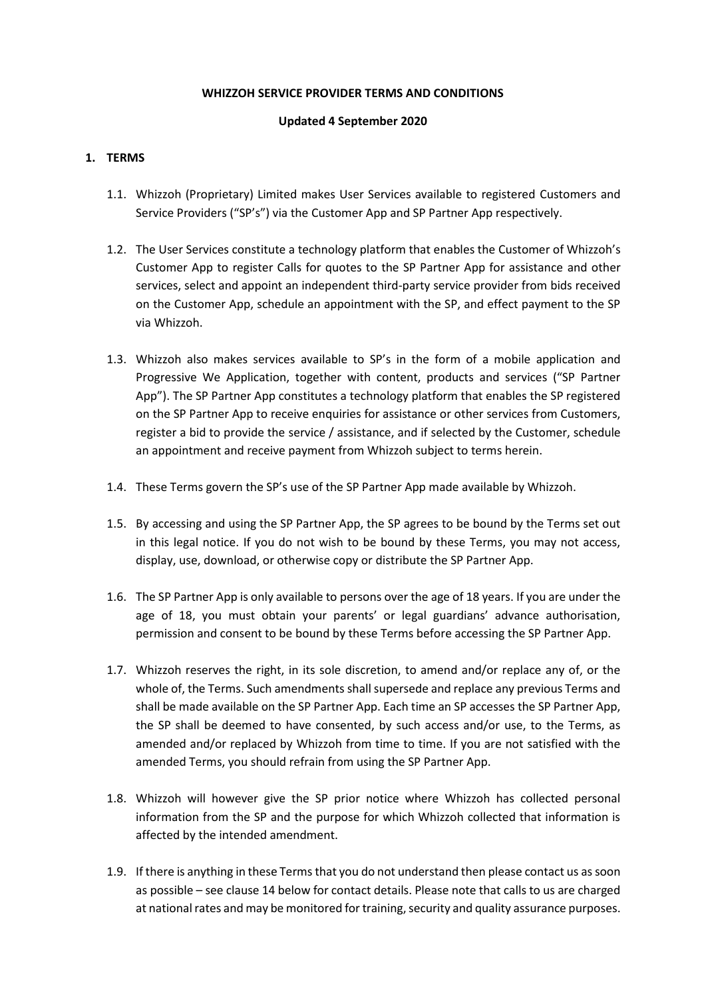### **WHIZZOH SERVICE PROVIDER TERMS AND CONDITIONS**

## **Updated 4 September 2020**

## **1. TERMS**

- 1.1. Whizzoh (Proprietary) Limited makes User Services available to registered Customers and Service Providers ("SP's") via the Customer App and SP Partner App respectively.
- 1.2. The User Services constitute a technology platform that enables the Customer of Whizzoh's Customer App to register Calls for quotes to the SP Partner App for assistance and other services, select and appoint an independent third-party service provider from bids received on the Customer App, schedule an appointment with the SP, and effect payment to the SP via Whizzoh.
- 1.3. Whizzoh also makes services available to SP's in the form of a mobile application and Progressive We Application, together with content, products and services ("SP Partner App"). The SP Partner App constitutes a technology platform that enables the SP registered on the SP Partner App to receive enquiries for assistance or other services from Customers, register a bid to provide the service / assistance, and if selected by the Customer, schedule an appointment and receive payment from Whizzoh subject to terms herein.
- 1.4. These Terms govern the SP's use of the SP Partner App made available by Whizzoh.
- 1.5. By accessing and using the SP Partner App, the SP agrees to be bound by the Terms set out in this legal notice. If you do not wish to be bound by these Terms, you may not access, display, use, download, or otherwise copy or distribute the SP Partner App.
- 1.6. The SP Partner App is only available to persons over the age of 18 years. If you are under the age of 18, you must obtain your parents' or legal guardians' advance authorisation, permission and consent to be bound by these Terms before accessing the SP Partner App.
- 1.7. Whizzoh reserves the right, in its sole discretion, to amend and/or replace any of, or the whole of, the Terms. Such amendments shall supersede and replace any previous Terms and shall be made available on the SP Partner App. Each time an SP accesses the SP Partner App, the SP shall be deemed to have consented, by such access and/or use, to the Terms, as amended and/or replaced by Whizzoh from time to time. If you are not satisfied with the amended Terms, you should refrain from using the SP Partner App.
- 1.8. Whizzoh will however give the SP prior notice where Whizzoh has collected personal information from the SP and the purpose for which Whizzoh collected that information is affected by the intended amendment.
- 1.9. If there is anything in these Terms that you do not understand then please contact us as soon as possible – see clause 14 below for contact details. Please note that calls to us are charged at national rates and may be monitored for training, security and quality assurance purposes.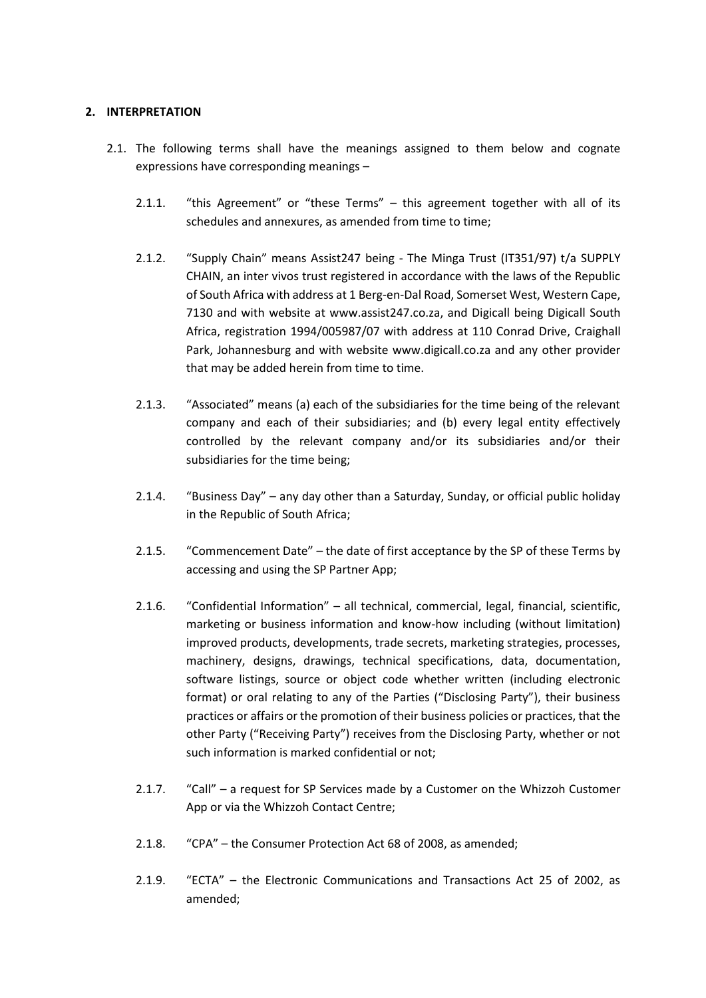## **2. INTERPRETATION**

- 2.1. The following terms shall have the meanings assigned to them below and cognate expressions have corresponding meanings –
	- 2.1.1. "this Agreement" or "these Terms" this agreement together with all of its schedules and annexures, as amended from time to time;
	- 2.1.2. "Supply Chain" means Assist247 being The Minga Trust (IT351/97) t/a SUPPLY CHAIN, an inter vivos trust registered in accordance with the laws of the Republic of South Africa with address at 1 Berg-en-Dal Road, Somerset West, Western Cape, 7130 and with website at www.assist247.co.za, and Digicall being Digicall South Africa, registration 1994/005987/07 with address at 110 Conrad Drive, Craighall Park, Johannesburg and with website [www.digicall.co.za](http://www.digicall.co.za/) and any other provider that may be added herein from time to time.
	- 2.1.3. "Associated" means (a) each of the subsidiaries for the time being of the relevant company and each of their subsidiaries; and (b) every legal entity effectively controlled by the relevant company and/or its subsidiaries and/or their subsidiaries for the time being;
	- 2.1.4. "Business Day" any day other than a Saturday, Sunday, or official public holiday in the Republic of South Africa;
	- 2.1.5. "Commencement Date" the date of first acceptance by the SP of these Terms by accessing and using the SP Partner App;
	- 2.1.6. "Confidential Information" all technical, commercial, legal, financial, scientific, marketing or business information and know-how including (without limitation) improved products, developments, trade secrets, marketing strategies, processes, machinery, designs, drawings, technical specifications, data, documentation, software listings, source or object code whether written (including electronic format) or oral relating to any of the Parties ("Disclosing Party"), their business practices or affairs or the promotion of their business policies or practices, that the other Party ("Receiving Party") receives from the Disclosing Party, whether or not such information is marked confidential or not;
	- 2.1.7. "Call" a request for SP Services made by a Customer on the Whizzoh Customer App or via the Whizzoh Contact Centre;
	- 2.1.8. "CPA" the Consumer Protection Act 68 of 2008, as amended;
	- 2.1.9. "ECTA" the Electronic Communications and Transactions Act 25 of 2002, as amended;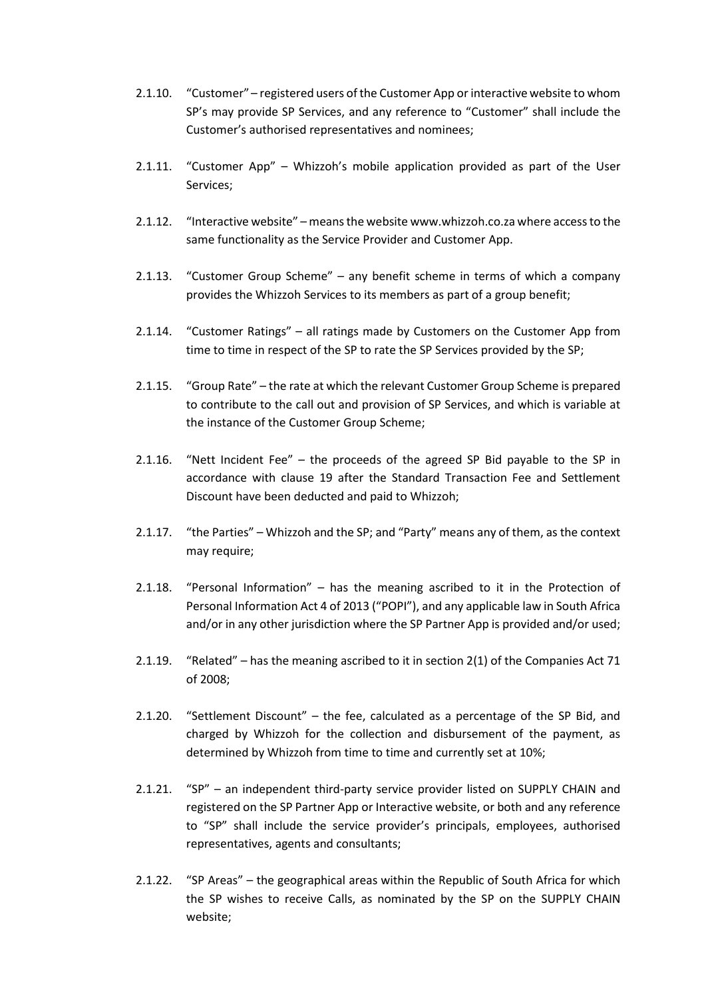- 2.1.10. "Customer" registered users of the Customer App or interactive website to whom SP's may provide SP Services, and any reference to "Customer" shall include the Customer's authorised representatives and nominees;
- 2.1.11. "Customer App" Whizzoh's mobile application provided as part of the User Services;
- 2.1.12. "Interactive website" means the websit[e www.whizzoh.co.za](http://www.whizzoh.co.za/) where access to the same functionality as the Service Provider and Customer App.
- 2.1.13. "Customer Group Scheme" any benefit scheme in terms of which a company provides the Whizzoh Services to its members as part of a group benefit;
- 2.1.14. "Customer Ratings" all ratings made by Customers on the Customer App from time to time in respect of the SP to rate the SP Services provided by the SP;
- 2.1.15. "Group Rate" the rate at which the relevant Customer Group Scheme is prepared to contribute to the call out and provision of SP Services, and which is variable at the instance of the Customer Group Scheme;
- 2.1.16. "Nett Incident Fee" the proceeds of the agreed SP Bid payable to the SP in accordance with clause 19 after the Standard Transaction Fee and Settlement Discount have been deducted and paid to Whizzoh;
- 2.1.17. "the Parties" Whizzoh and the SP; and "Party" means any of them, as the context may require;
- 2.1.18. "Personal Information" has the meaning ascribed to it in the Protection of Personal Information Act 4 of 2013 ("POPI"), and any applicable law in South Africa and/or in any other jurisdiction where the SP Partner App is provided and/or used;
- 2.1.19. "Related" has the meaning ascribed to it in section 2(1) of the Companies Act 71 of 2008;
- 2.1.20. "Settlement Discount" the fee, calculated as a percentage of the SP Bid, and charged by Whizzoh for the collection and disbursement of the payment, as determined by Whizzoh from time to time and currently set at 10%;
- 2.1.21. "SP" an independent third-party service provider listed on SUPPLY CHAIN and registered on the SP Partner App or Interactive website, or both and any reference to "SP" shall include the service provider's principals, employees, authorised representatives, agents and consultants;
- 2.1.22. "SP Areas" the geographical areas within the Republic of South Africa for which the SP wishes to receive Calls, as nominated by the SP on the SUPPLY CHAIN website;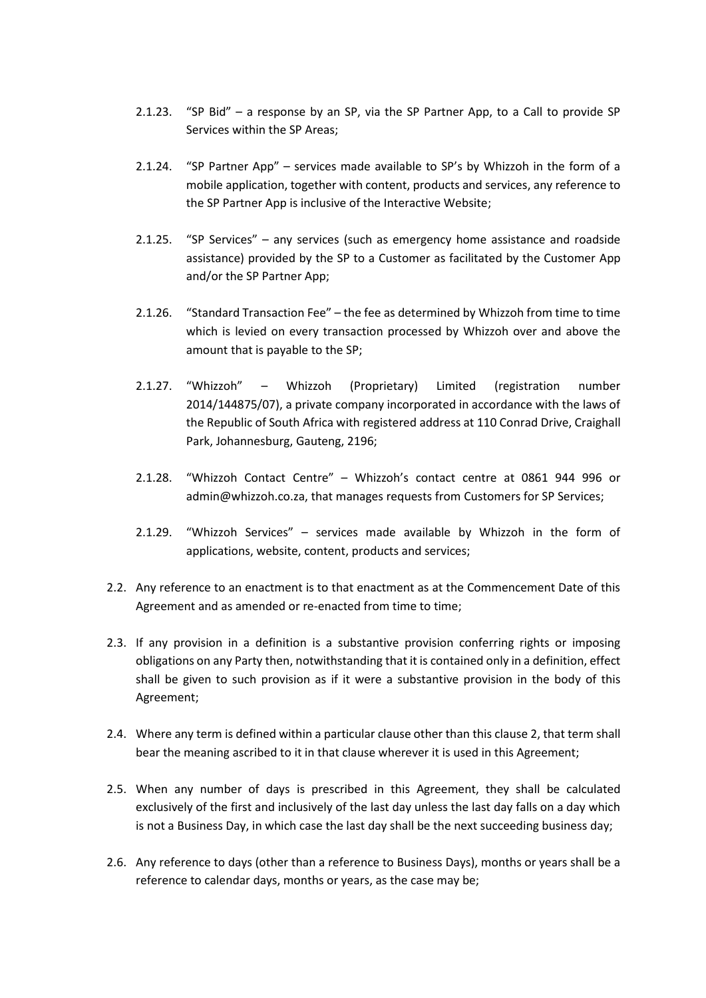- 2.1.23. "SP Bid" a response by an SP, via the SP Partner App, to a Call to provide SP Services within the SP Areas;
- 2.1.24. "SP Partner App" services made available to SP's by Whizzoh in the form of a mobile application, together with content, products and services, any reference to the SP Partner App is inclusive of the Interactive Website;
- 2.1.25. "SP Services" any services (such as emergency home assistance and roadside assistance) provided by the SP to a Customer as facilitated by the Customer App and/or the SP Partner App;
- 2.1.26. "Standard Transaction Fee" the fee as determined by Whizzoh from time to time which is levied on every transaction processed by Whizzoh over and above the amount that is payable to the SP;
- 2.1.27. "Whizzoh" Whizzoh (Proprietary) Limited (registration number 2014/144875/07), a private company incorporated in accordance with the laws of the Republic of South Africa with registered address at 110 Conrad Drive, Craighall Park, Johannesburg, Gauteng, 2196;
- 2.1.28. "Whizzoh Contact Centre" Whizzoh's contact centre at 0861 944 996 or admin@whizzoh.co.za, that manages requests from Customers for SP Services;
- 2.1.29. "Whizzoh Services" services made available by Whizzoh in the form of applications, website, content, products and services;
- 2.2. Any reference to an enactment is to that enactment as at the Commencement Date of this Agreement and as amended or re-enacted from time to time;
- 2.3. If any provision in a definition is a substantive provision conferring rights or imposing obligations on any Party then, notwithstanding that it is contained only in a definition, effect shall be given to such provision as if it were a substantive provision in the body of this Agreement;
- 2.4. Where any term is defined within a particular clause other than this clause 2, that term shall bear the meaning ascribed to it in that clause wherever it is used in this Agreement;
- 2.5. When any number of days is prescribed in this Agreement, they shall be calculated exclusively of the first and inclusively of the last day unless the last day falls on a day which is not a Business Day, in which case the last day shall be the next succeeding business day;
- 2.6. Any reference to days (other than a reference to Business Days), months or years shall be a reference to calendar days, months or years, as the case may be;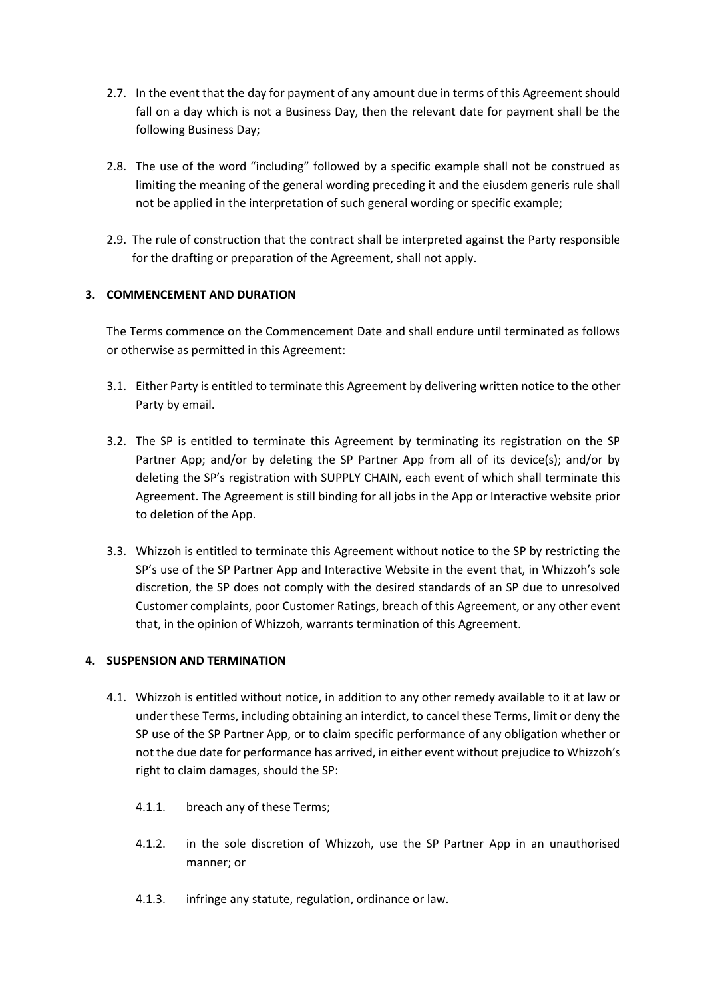- 2.7. In the event that the day for payment of any amount due in terms of this Agreement should fall on a day which is not a Business Day, then the relevant date for payment shall be the following Business Day;
- 2.8. The use of the word "including" followed by a specific example shall not be construed as limiting the meaning of the general wording preceding it and the eiusdem generis rule shall not be applied in the interpretation of such general wording or specific example;
- 2.9. The rule of construction that the contract shall be interpreted against the Party responsible for the drafting or preparation of the Agreement, shall not apply.

# **3. COMMENCEMENT AND DURATION**

The Terms commence on the Commencement Date and shall endure until terminated as follows or otherwise as permitted in this Agreement:

- 3.1. Either Party is entitled to terminate this Agreement by delivering written notice to the other Party by email.
- 3.2. The SP is entitled to terminate this Agreement by terminating its registration on the SP Partner App; and/or by deleting the SP Partner App from all of its device(s); and/or by deleting the SP's registration with SUPPLY CHAIN, each event of which shall terminate this Agreement. The Agreement is still binding for all jobs in the App or Interactive website prior to deletion of the App.
- 3.3. Whizzoh is entitled to terminate this Agreement without notice to the SP by restricting the SP's use of the SP Partner App and Interactive Website in the event that, in Whizzoh's sole discretion, the SP does not comply with the desired standards of an SP due to unresolved Customer complaints, poor Customer Ratings, breach of this Agreement, or any other event that, in the opinion of Whizzoh, warrants termination of this Agreement.

## **4. SUSPENSION AND TERMINATION**

- 4.1. Whizzoh is entitled without notice, in addition to any other remedy available to it at law or under these Terms, including obtaining an interdict, to cancel these Terms, limit or deny the SP use of the SP Partner App, or to claim specific performance of any obligation whether or not the due date for performance has arrived, in either event without prejudice to Whizzoh's right to claim damages, should the SP:
	- 4.1.1. breach any of these Terms;
	- 4.1.2. in the sole discretion of Whizzoh, use the SP Partner App in an unauthorised manner; or
	- 4.1.3. infringe any statute, regulation, ordinance or law.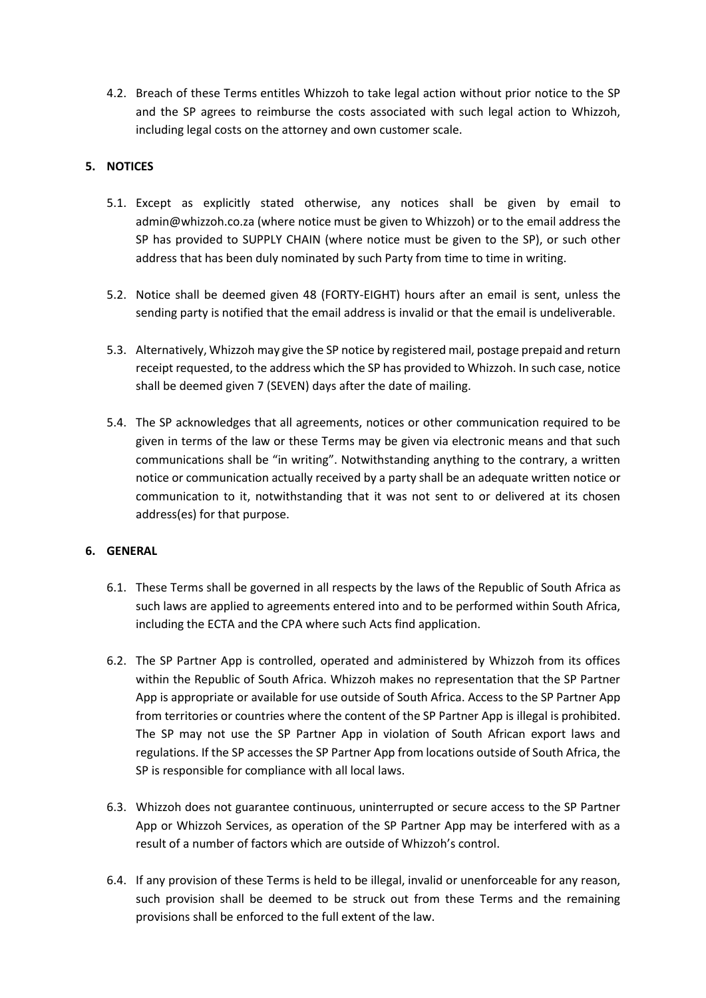4.2. Breach of these Terms entitles Whizzoh to take legal action without prior notice to the SP and the SP agrees to reimburse the costs associated with such legal action to Whizzoh, including legal costs on the attorney and own customer scale.

# **5. NOTICES**

- 5.1. Except as explicitly stated otherwise, any notices shall be given by email to admin@whizzoh.co.za (where notice must be given to Whizzoh) or to the email address the SP has provided to SUPPLY CHAIN (where notice must be given to the SP), or such other address that has been duly nominated by such Party from time to time in writing.
- 5.2. Notice shall be deemed given 48 (FORTY-EIGHT) hours after an email is sent, unless the sending party is notified that the email address is invalid or that the email is undeliverable.
- 5.3. Alternatively, Whizzoh may give the SP notice by registered mail, postage prepaid and return receipt requested, to the address which the SP has provided to Whizzoh. In such case, notice shall be deemed given 7 (SEVEN) days after the date of mailing.
- 5.4. The SP acknowledges that all agreements, notices or other communication required to be given in terms of the law or these Terms may be given via electronic means and that such communications shall be "in writing". Notwithstanding anything to the contrary, a written notice or communication actually received by a party shall be an adequate written notice or communication to it, notwithstanding that it was not sent to or delivered at its chosen address(es) for that purpose.

## **6. GENERAL**

- 6.1. These Terms shall be governed in all respects by the laws of the Republic of South Africa as such laws are applied to agreements entered into and to be performed within South Africa, including the ECTA and the CPA where such Acts find application.
- 6.2. The SP Partner App is controlled, operated and administered by Whizzoh from its offices within the Republic of South Africa. Whizzoh makes no representation that the SP Partner App is appropriate or available for use outside of South Africa. Access to the SP Partner App from territories or countries where the content of the SP Partner App is illegal is prohibited. The SP may not use the SP Partner App in violation of South African export laws and regulations. If the SP accesses the SP Partner App from locations outside of South Africa, the SP is responsible for compliance with all local laws.
- 6.3. Whizzoh does not guarantee continuous, uninterrupted or secure access to the SP Partner App or Whizzoh Services, as operation of the SP Partner App may be interfered with as a result of a number of factors which are outside of Whizzoh's control.
- 6.4. If any provision of these Terms is held to be illegal, invalid or unenforceable for any reason, such provision shall be deemed to be struck out from these Terms and the remaining provisions shall be enforced to the full extent of the law.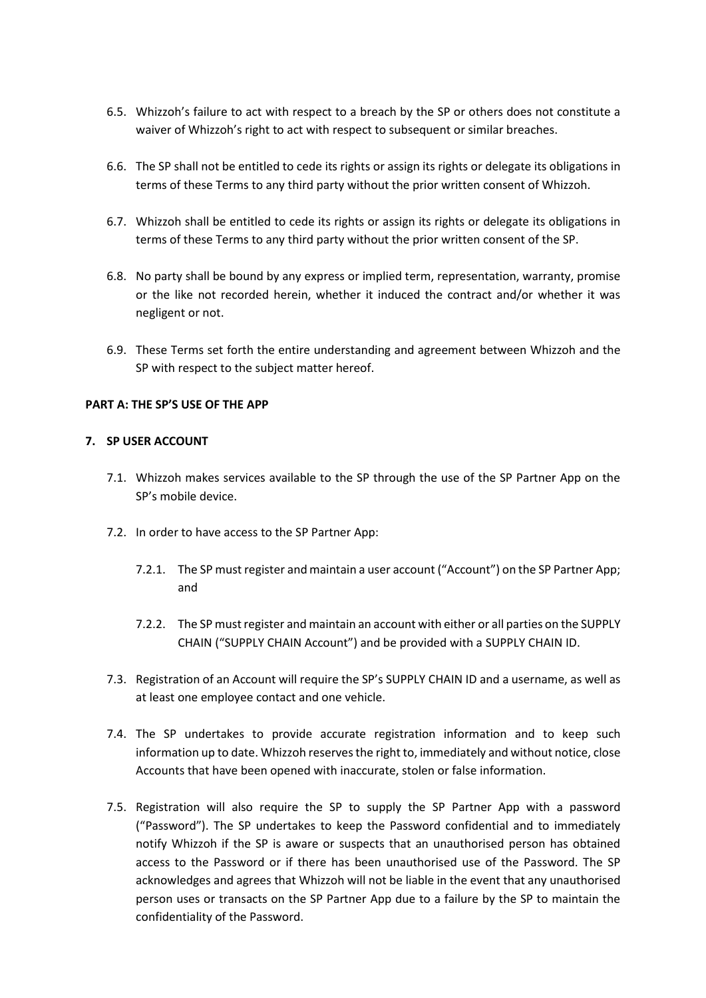- 6.5. Whizzoh's failure to act with respect to a breach by the SP or others does not constitute a waiver of Whizzoh's right to act with respect to subsequent or similar breaches.
- 6.6. The SP shall not be entitled to cede its rights or assign its rights or delegate its obligations in terms of these Terms to any third party without the prior written consent of Whizzoh.
- 6.7. Whizzoh shall be entitled to cede its rights or assign its rights or delegate its obligations in terms of these Terms to any third party without the prior written consent of the SP.
- 6.8. No party shall be bound by any express or implied term, representation, warranty, promise or the like not recorded herein, whether it induced the contract and/or whether it was negligent or not.
- 6.9. These Terms set forth the entire understanding and agreement between Whizzoh and the SP with respect to the subject matter hereof.

# **PART A: THE SP'S USE OF THE APP**

## **7. SP USER ACCOUNT**

- 7.1. Whizzoh makes services available to the SP through the use of the SP Partner App on the SP's mobile device.
- 7.2. In order to have access to the SP Partner App:
	- 7.2.1. The SP must register and maintain a user account ("Account") on the SP Partner App; and
	- 7.2.2. The SP must register and maintain an account with either or all parties on the SUPPLY CHAIN ("SUPPLY CHAIN Account") and be provided with a SUPPLY CHAIN ID.
- 7.3. Registration of an Account will require the SP's SUPPLY CHAIN ID and a username, as well as at least one employee contact and one vehicle.
- 7.4. The SP undertakes to provide accurate registration information and to keep such information up to date. Whizzoh reserves the right to, immediately and without notice, close Accounts that have been opened with inaccurate, stolen or false information.
- 7.5. Registration will also require the SP to supply the SP Partner App with a password ("Password"). The SP undertakes to keep the Password confidential and to immediately notify Whizzoh if the SP is aware or suspects that an unauthorised person has obtained access to the Password or if there has been unauthorised use of the Password. The SP acknowledges and agrees that Whizzoh will not be liable in the event that any unauthorised person uses or transacts on the SP Partner App due to a failure by the SP to maintain the confidentiality of the Password.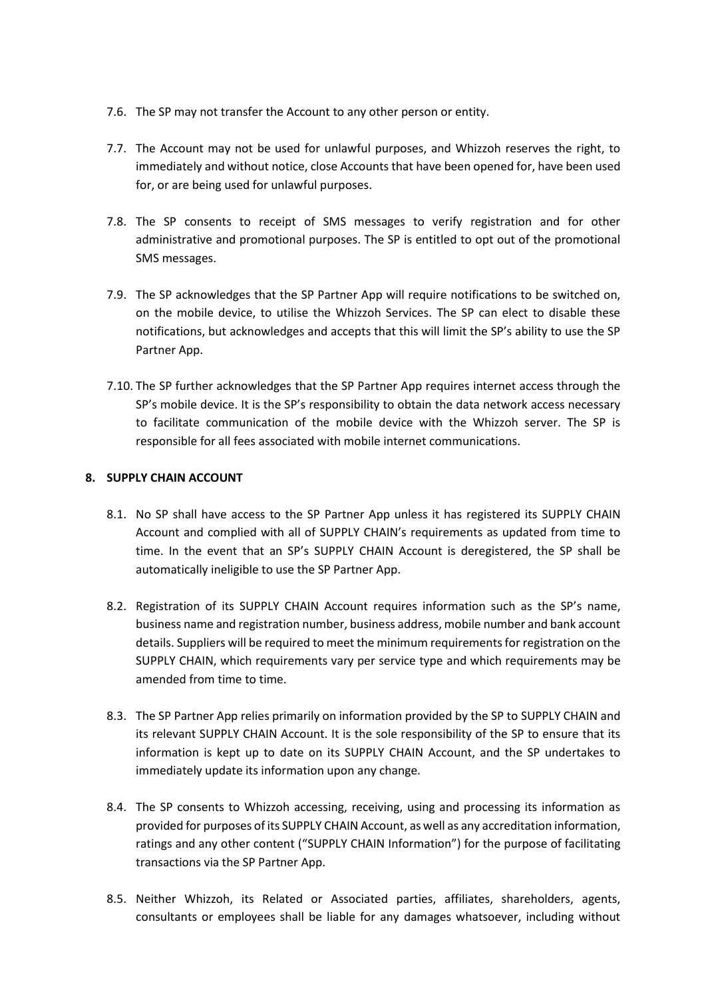- 7.6. The SP may not transfer the Account to any other person or entity.
- 7.7. The Account may not be used for unlawful purposes, and Whizzoh reserves the right, to immediately and without notice, close Accounts that have been opened for, have been used for, or are being used for unlawful purposes.
- 7.8. The SP consents to receipt of SMS messages to verify registration and for other administrative and promotional purposes. The SP is entitled to opt out of the promotional SMS messages.
- 7.9. The SP acknowledges that the SP Partner App will require notifications to be switched on, on the mobile device, to utilise the Whizzoh Services. The SP can elect to disable these notifications, but acknowledges and accepts that this will limit the SP's ability to use the SP Partner App.
- 7.10. The SP further acknowledges that the SP Partner App requires internet access through the SP's mobile device. It is the SP's responsibility to obtain the data network access necessary to facilitate communication of the mobile device with the Whizzoh server. The SP is responsible for all fees associated with mobile internet communications.

# **8. SUPPLY CHAIN ACCOUNT**

- 8.1. No SP shall have access to the SP Partner App unless it has registered its SUPPLY CHAIN Account and complied with all of SUPPLY CHAIN's requirements as updated from time to time. In the event that an SP's SUPPLY CHAIN Account is deregistered, the SP shall be automatically ineligible to use the SP Partner App.
- 8.2. Registration of its SUPPLY CHAIN Account requires information such as the SP's name, business name and registration number, business address, mobile number and bank account details. Suppliers will be required to meet the minimum requirements for registration on the SUPPLY CHAIN, which requirements vary per service type and which requirements may be amended from time to time.
- 8.3. The SP Partner App relies primarily on information provided by the SP to SUPPLY CHAIN and its relevant SUPPLY CHAIN Account. It is the sole responsibility of the SP to ensure that its information is kept up to date on its SUPPLY CHAIN Account, and the SP undertakes to immediately update its information upon any change.
- 8.4. The SP consents to Whizzoh accessing, receiving, using and processing its information as provided for purposes of its SUPPLY CHAIN Account, as well as any accreditation information, ratings and any other content ("SUPPLY CHAIN Information") for the purpose of facilitating transactions via the SP Partner App.
- 8.5. Neither Whizzoh, its Related or Associated parties, affiliates, shareholders, agents, consultants or employees shall be liable for any damages whatsoever, including without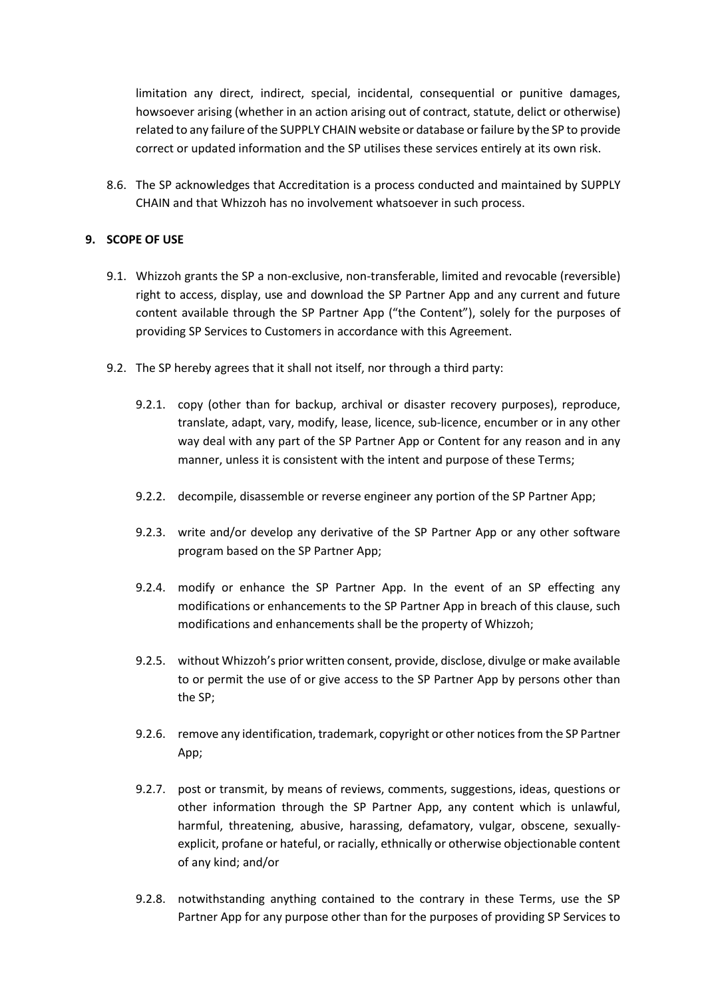limitation any direct, indirect, special, incidental, consequential or punitive damages, howsoever arising (whether in an action arising out of contract, statute, delict or otherwise) related to any failure of the SUPPLY CHAIN website or database or failure by the SP to provide correct or updated information and the SP utilises these services entirely at its own risk.

8.6. The SP acknowledges that Accreditation is a process conducted and maintained by SUPPLY CHAIN and that Whizzoh has no involvement whatsoever in such process.

## **9. SCOPE OF USE**

- 9.1. Whizzoh grants the SP a non-exclusive, non-transferable, limited and revocable (reversible) right to access, display, use and download the SP Partner App and any current and future content available through the SP Partner App ("the Content"), solely for the purposes of providing SP Services to Customers in accordance with this Agreement.
- 9.2. The SP hereby agrees that it shall not itself, nor through a third party:
	- 9.2.1. copy (other than for backup, archival or disaster recovery purposes), reproduce, translate, adapt, vary, modify, lease, licence, sub-licence, encumber or in any other way deal with any part of the SP Partner App or Content for any reason and in any manner, unless it is consistent with the intent and purpose of these Terms;
	- 9.2.2. decompile, disassemble or reverse engineer any portion of the SP Partner App;
	- 9.2.3. write and/or develop any derivative of the SP Partner App or any other software program based on the SP Partner App;
	- 9.2.4. modify or enhance the SP Partner App. In the event of an SP effecting any modifications or enhancements to the SP Partner App in breach of this clause, such modifications and enhancements shall be the property of Whizzoh;
	- 9.2.5. without Whizzoh's prior written consent, provide, disclose, divulge or make available to or permit the use of or give access to the SP Partner App by persons other than the SP;
	- 9.2.6. remove any identification, trademark, copyright or other notices from the SP Partner App;
	- 9.2.7. post or transmit, by means of reviews, comments, suggestions, ideas, questions or other information through the SP Partner App, any content which is unlawful, harmful, threatening, abusive, harassing, defamatory, vulgar, obscene, sexuallyexplicit, profane or hateful, or racially, ethnically or otherwise objectionable content of any kind; and/or
	- 9.2.8. notwithstanding anything contained to the contrary in these Terms, use the SP Partner App for any purpose other than for the purposes of providing SP Services to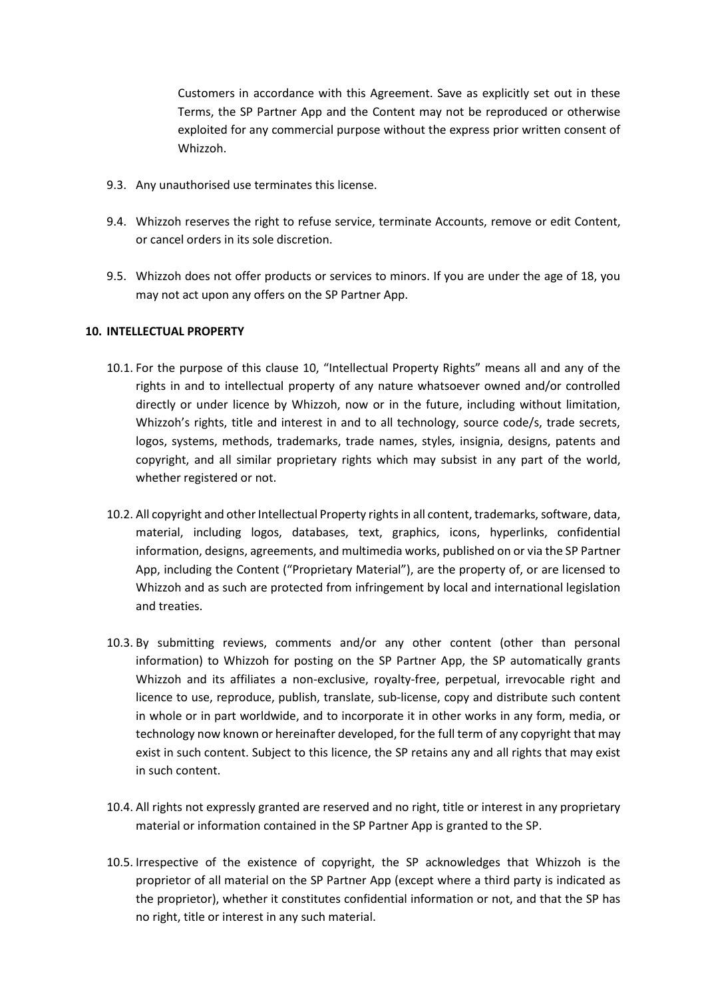Customers in accordance with this Agreement. Save as explicitly set out in these Terms, the SP Partner App and the Content may not be reproduced or otherwise exploited for any commercial purpose without the express prior written consent of Whizzoh.

- 9.3. Any unauthorised use terminates this license.
- 9.4. Whizzoh reserves the right to refuse service, terminate Accounts, remove or edit Content, or cancel orders in its sole discretion.
- 9.5. Whizzoh does not offer products or services to minors. If you are under the age of 18, you may not act upon any offers on the SP Partner App.

# **10. INTELLECTUAL PROPERTY**

- 10.1. For the purpose of this clause 10, "Intellectual Property Rights" means all and any of the rights in and to intellectual property of any nature whatsoever owned and/or controlled directly or under licence by Whizzoh, now or in the future, including without limitation, Whizzoh's rights, title and interest in and to all technology, source code/s, trade secrets, logos, systems, methods, trademarks, trade names, styles, insignia, designs, patents and copyright, and all similar proprietary rights which may subsist in any part of the world, whether registered or not.
- 10.2. All copyright and other Intellectual Property rights in all content, trademarks, software, data, material, including logos, databases, text, graphics, icons, hyperlinks, confidential information, designs, agreements, and multimedia works, published on or via the SP Partner App, including the Content ("Proprietary Material"), are the property of, or are licensed to Whizzoh and as such are protected from infringement by local and international legislation and treaties.
- 10.3. By submitting reviews, comments and/or any other content (other than personal information) to Whizzoh for posting on the SP Partner App, the SP automatically grants Whizzoh and its affiliates a non-exclusive, royalty-free, perpetual, irrevocable right and licence to use, reproduce, publish, translate, sub-license, copy and distribute such content in whole or in part worldwide, and to incorporate it in other works in any form, media, or technology now known or hereinafter developed, for the full term of any copyright that may exist in such content. Subject to this licence, the SP retains any and all rights that may exist in such content.
- 10.4. All rights not expressly granted are reserved and no right, title or interest in any proprietary material or information contained in the SP Partner App is granted to the SP.
- 10.5. Irrespective of the existence of copyright, the SP acknowledges that Whizzoh is the proprietor of all material on the SP Partner App (except where a third party is indicated as the proprietor), whether it constitutes confidential information or not, and that the SP has no right, title or interest in any such material.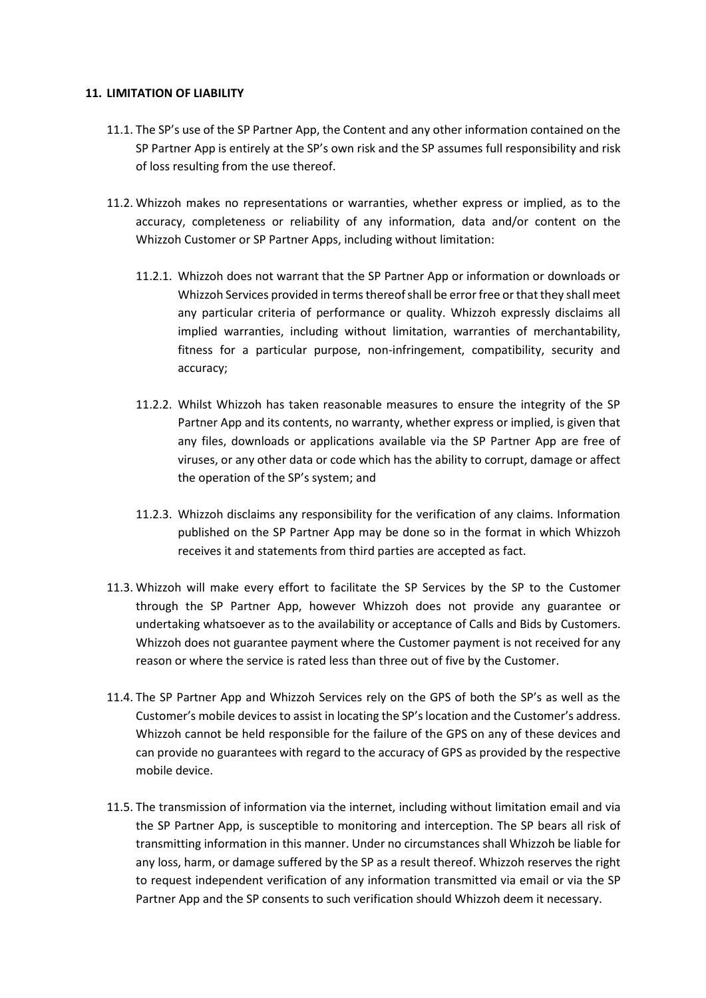### **11. LIMITATION OF LIABILITY**

- 11.1. The SP's use of the SP Partner App, the Content and any other information contained on the SP Partner App is entirely at the SP's own risk and the SP assumes full responsibility and risk of loss resulting from the use thereof.
- 11.2. Whizzoh makes no representations or warranties, whether express or implied, as to the accuracy, completeness or reliability of any information, data and/or content on the Whizzoh Customer or SP Partner Apps, including without limitation:
	- 11.2.1. Whizzoh does not warrant that the SP Partner App or information or downloads or Whizzoh Services provided in terms thereof shall be error free or that they shall meet any particular criteria of performance or quality. Whizzoh expressly disclaims all implied warranties, including without limitation, warranties of merchantability, fitness for a particular purpose, non-infringement, compatibility, security and accuracy;
	- 11.2.2. Whilst Whizzoh has taken reasonable measures to ensure the integrity of the SP Partner App and its contents, no warranty, whether express or implied, is given that any files, downloads or applications available via the SP Partner App are free of viruses, or any other data or code which has the ability to corrupt, damage or affect the operation of the SP's system; and
	- 11.2.3. Whizzoh disclaims any responsibility for the verification of any claims. Information published on the SP Partner App may be done so in the format in which Whizzoh receives it and statements from third parties are accepted as fact.
- 11.3. Whizzoh will make every effort to facilitate the SP Services by the SP to the Customer through the SP Partner App, however Whizzoh does not provide any guarantee or undertaking whatsoever as to the availability or acceptance of Calls and Bids by Customers. Whizzoh does not guarantee payment where the Customer payment is not received for any reason or where the service is rated less than three out of five by the Customer.
- 11.4. The SP Partner App and Whizzoh Services rely on the GPS of both the SP's as well as the Customer's mobile devices to assist in locating the SP's location and the Customer's address. Whizzoh cannot be held responsible for the failure of the GPS on any of these devices and can provide no guarantees with regard to the accuracy of GPS as provided by the respective mobile device.
- 11.5. The transmission of information via the internet, including without limitation email and via the SP Partner App, is susceptible to monitoring and interception. The SP bears all risk of transmitting information in this manner. Under no circumstances shall Whizzoh be liable for any loss, harm, or damage suffered by the SP as a result thereof. Whizzoh reserves the right to request independent verification of any information transmitted via email or via the SP Partner App and the SP consents to such verification should Whizzoh deem it necessary.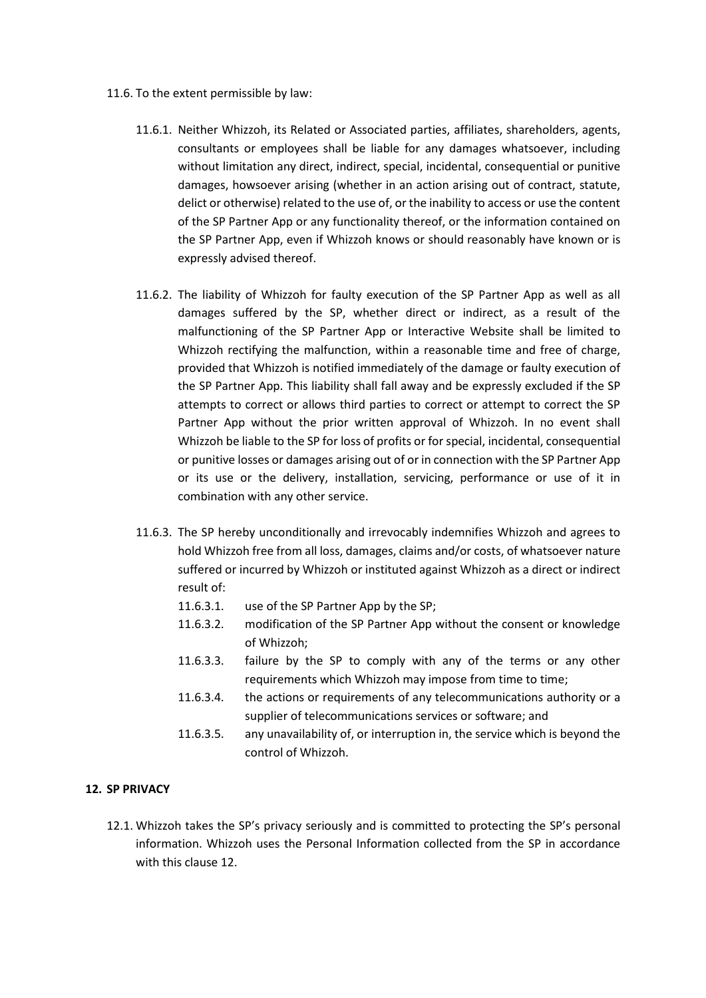- 11.6. To the extent permissible by law:
	- 11.6.1. Neither Whizzoh, its Related or Associated parties, affiliates, shareholders, agents, consultants or employees shall be liable for any damages whatsoever, including without limitation any direct, indirect, special, incidental, consequential or punitive damages, howsoever arising (whether in an action arising out of contract, statute, delict or otherwise) related to the use of, or the inability to access or use the content of the SP Partner App or any functionality thereof, or the information contained on the SP Partner App, even if Whizzoh knows or should reasonably have known or is expressly advised thereof.
	- 11.6.2. The liability of Whizzoh for faulty execution of the SP Partner App as well as all damages suffered by the SP, whether direct or indirect, as a result of the malfunctioning of the SP Partner App or Interactive Website shall be limited to Whizzoh rectifying the malfunction, within a reasonable time and free of charge, provided that Whizzoh is notified immediately of the damage or faulty execution of the SP Partner App. This liability shall fall away and be expressly excluded if the SP attempts to correct or allows third parties to correct or attempt to correct the SP Partner App without the prior written approval of Whizzoh. In no event shall Whizzoh be liable to the SP for loss of profits or for special, incidental, consequential or punitive losses or damages arising out of or in connection with the SP Partner App or its use or the delivery, installation, servicing, performance or use of it in combination with any other service.
	- 11.6.3. The SP hereby unconditionally and irrevocably indemnifies Whizzoh and agrees to hold Whizzoh free from all loss, damages, claims and/or costs, of whatsoever nature suffered or incurred by Whizzoh or instituted against Whizzoh as a direct or indirect result of:
		- 11.6.3.1. use of the SP Partner App by the SP;
		- 11.6.3.2. modification of the SP Partner App without the consent or knowledge of Whizzoh;
		- 11.6.3.3. failure by the SP to comply with any of the terms or any other requirements which Whizzoh may impose from time to time;
		- 11.6.3.4. the actions or requirements of any telecommunications authority or a supplier of telecommunications services or software; and
		- 11.6.3.5. any unavailability of, or interruption in, the service which is beyond the control of Whizzoh.

## **12. SP PRIVACY**

12.1. Whizzoh takes the SP's privacy seriously and is committed to protecting the SP's personal information. Whizzoh uses the Personal Information collected from the SP in accordance with this clause 12.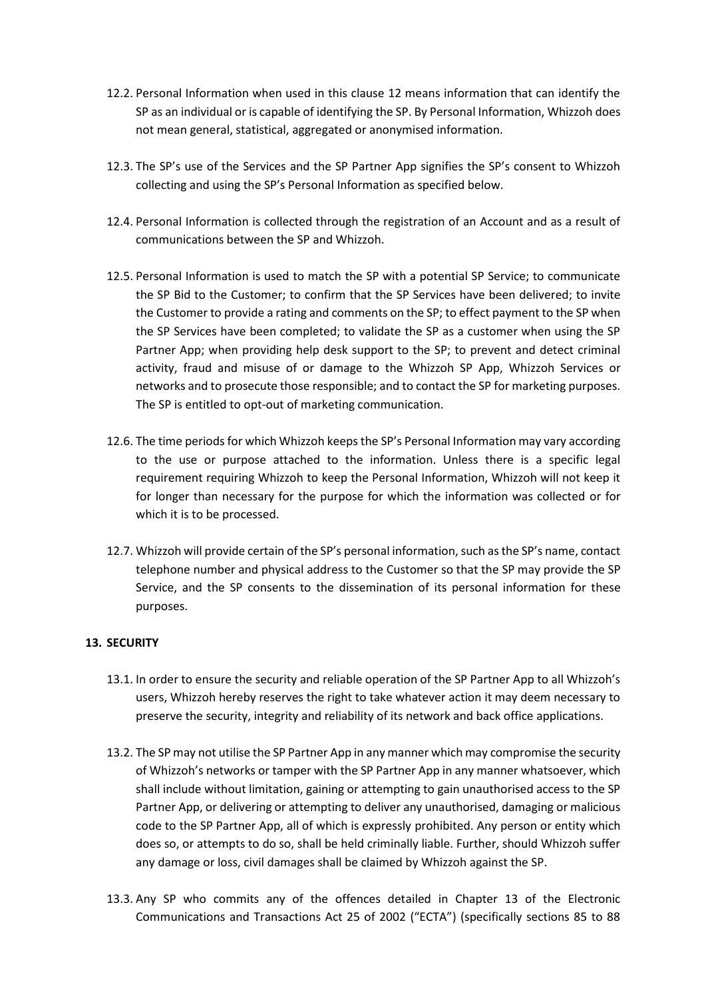- 12.2. Personal Information when used in this clause 12 means information that can identify the SP as an individual or is capable of identifying the SP. By Personal Information, Whizzoh does not mean general, statistical, aggregated or anonymised information.
- 12.3. The SP's use of the Services and the SP Partner App signifies the SP's consent to Whizzoh collecting and using the SP's Personal Information as specified below.
- 12.4. Personal Information is collected through the registration of an Account and as a result of communications between the SP and Whizzoh.
- 12.5. Personal Information is used to match the SP with a potential SP Service; to communicate the SP Bid to the Customer; to confirm that the SP Services have been delivered; to invite the Customer to provide a rating and comments on the SP; to effect payment to the SP when the SP Services have been completed; to validate the SP as a customer when using the SP Partner App; when providing help desk support to the SP; to prevent and detect criminal activity, fraud and misuse of or damage to the Whizzoh SP App, Whizzoh Services or networks and to prosecute those responsible; and to contact the SP for marketing purposes. The SP is entitled to opt-out of marketing communication.
- 12.6. The time periods for which Whizzoh keeps the SP's Personal Information may vary according to the use or purpose attached to the information. Unless there is a specific legal requirement requiring Whizzoh to keep the Personal Information, Whizzoh will not keep it for longer than necessary for the purpose for which the information was collected or for which it is to be processed.
- 12.7. Whizzoh will provide certain of the SP's personal information, such as the SP's name, contact telephone number and physical address to the Customer so that the SP may provide the SP Service, and the SP consents to the dissemination of its personal information for these purposes.

# **13. SECURITY**

- 13.1. In order to ensure the security and reliable operation of the SP Partner App to all Whizzoh's users, Whizzoh hereby reserves the right to take whatever action it may deem necessary to preserve the security, integrity and reliability of its network and back office applications.
- 13.2. The SP may not utilise the SP Partner App in any manner which may compromise the security of Whizzoh's networks or tamper with the SP Partner App in any manner whatsoever, which shall include without limitation, gaining or attempting to gain unauthorised access to the SP Partner App, or delivering or attempting to deliver any unauthorised, damaging or malicious code to the SP Partner App, all of which is expressly prohibited. Any person or entity which does so, or attempts to do so, shall be held criminally liable. Further, should Whizzoh suffer any damage or loss, civil damages shall be claimed by Whizzoh against the SP.
- 13.3. Any SP who commits any of the offences detailed in Chapter 13 of the Electronic Communications and Transactions Act 25 of 2002 ("ECTA") (specifically sections 85 to 88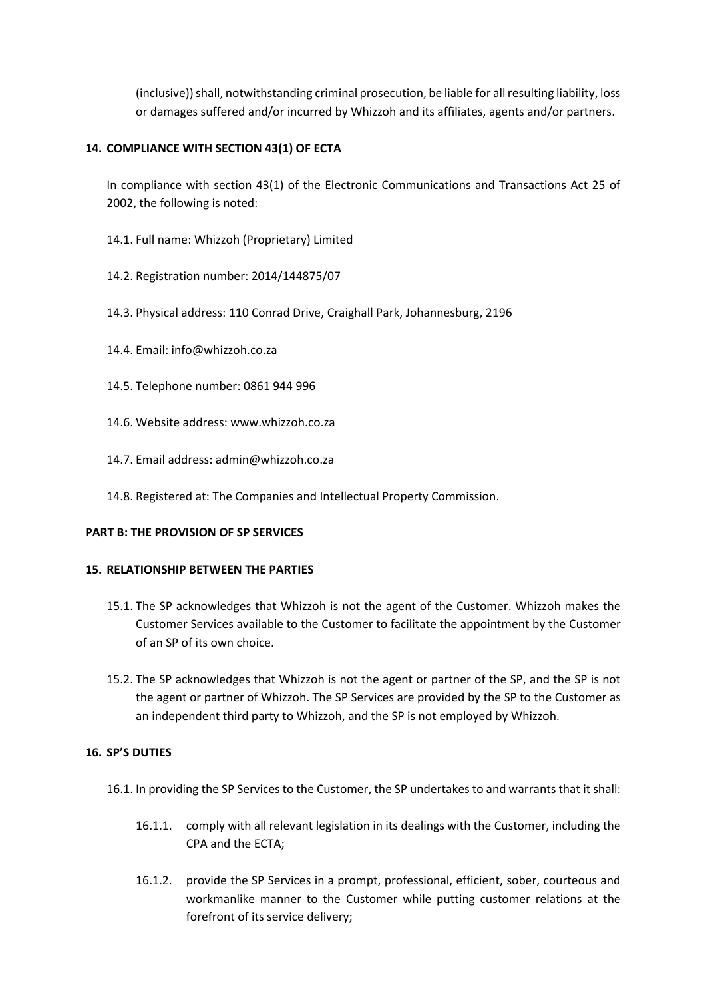(inclusive)) shall, notwithstanding criminal prosecution, be liable for all resulting liability, loss or damages suffered and/or incurred by Whizzoh and its affiliates, agents and/or partners.

# **14. COMPLIANCE WITH SECTION 43(1) OF ECTA**

In compliance with section 43(1) of the Electronic Communications and Transactions Act 25 of 2002, the following is noted:

- 14.1. Full name: Whizzoh (Proprietary) Limited
- 14.2. Registration number: 2014/144875/07
- 14.3. Physical address: 110 Conrad Drive, Craighall Park, Johannesburg, 2196
- 14.4. Email: info@whizzoh.co.za
- 14.5. Telephone number: 0861 944 996
- 14.6. Website address: www.whizzoh.co.za
- 14.7. Email address: admin@whizzoh.co.za
- 14.8. Registered at: The Companies and Intellectual Property Commission.

## **PART B: THE PROVISION OF SP SERVICES**

## **15. RELATIONSHIP BETWEEN THE PARTIES**

- 15.1. The SP acknowledges that Whizzoh is not the agent of the Customer. Whizzoh makes the Customer Services available to the Customer to facilitate the appointment by the Customer of an SP of its own choice.
- 15.2. The SP acknowledges that Whizzoh is not the agent or partner of the SP, and the SP is not the agent or partner of Whizzoh. The SP Services are provided by the SP to the Customer as an independent third party to Whizzoh, and the SP is not employed by Whizzoh.

## **16. SP'S DUTIES**

- 16.1. In providing the SP Services to the Customer, the SP undertakes to and warrants that it shall:
	- 16.1.1. comply with all relevant legislation in its dealings with the Customer, including the CPA and the ECTA;
	- 16.1.2. provide the SP Services in a prompt, professional, efficient, sober, courteous and workmanlike manner to the Customer while putting customer relations at the forefront of its service delivery;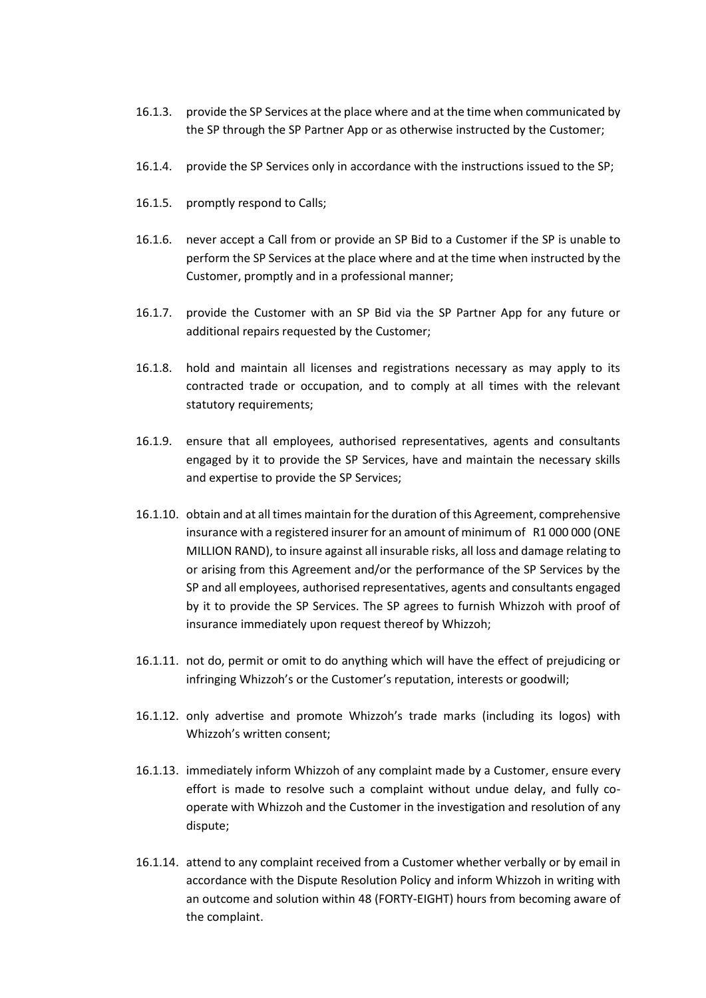- 16.1.3. provide the SP Services at the place where and at the time when communicated by the SP through the SP Partner App or as otherwise instructed by the Customer;
- 16.1.4. provide the SP Services only in accordance with the instructions issued to the SP;
- 16.1.5. promptly respond to Calls;
- 16.1.6. never accept a Call from or provide an SP Bid to a Customer if the SP is unable to perform the SP Services at the place where and at the time when instructed by the Customer, promptly and in a professional manner;
- 16.1.7. provide the Customer with an SP Bid via the SP Partner App for any future or additional repairs requested by the Customer;
- 16.1.8. hold and maintain all licenses and registrations necessary as may apply to its contracted trade or occupation, and to comply at all times with the relevant statutory requirements;
- 16.1.9. ensure that all employees, authorised representatives, agents and consultants engaged by it to provide the SP Services, have and maintain the necessary skills and expertise to provide the SP Services;
- 16.1.10. obtain and at all times maintain for the duration of this Agreement, comprehensive insurance with a registered insurer for an amount of minimum of R1 000 000 (ONE MILLION RAND), to insure against all insurable risks, all loss and damage relating to or arising from this Agreement and/or the performance of the SP Services by the SP and all employees, authorised representatives, agents and consultants engaged by it to provide the SP Services. The SP agrees to furnish Whizzoh with proof of insurance immediately upon request thereof by Whizzoh;
- 16.1.11. not do, permit or omit to do anything which will have the effect of prejudicing or infringing Whizzoh's or the Customer's reputation, interests or goodwill;
- 16.1.12. only advertise and promote Whizzoh's trade marks (including its logos) with Whizzoh's written consent;
- 16.1.13. immediately inform Whizzoh of any complaint made by a Customer, ensure every effort is made to resolve such a complaint without undue delay, and fully cooperate with Whizzoh and the Customer in the investigation and resolution of any dispute;
- 16.1.14. attend to any complaint received from a Customer whether verbally or by email in accordance with the Dispute Resolution Policy and inform Whizzoh in writing with an outcome and solution within 48 (FORTY-EIGHT) hours from becoming aware of the complaint.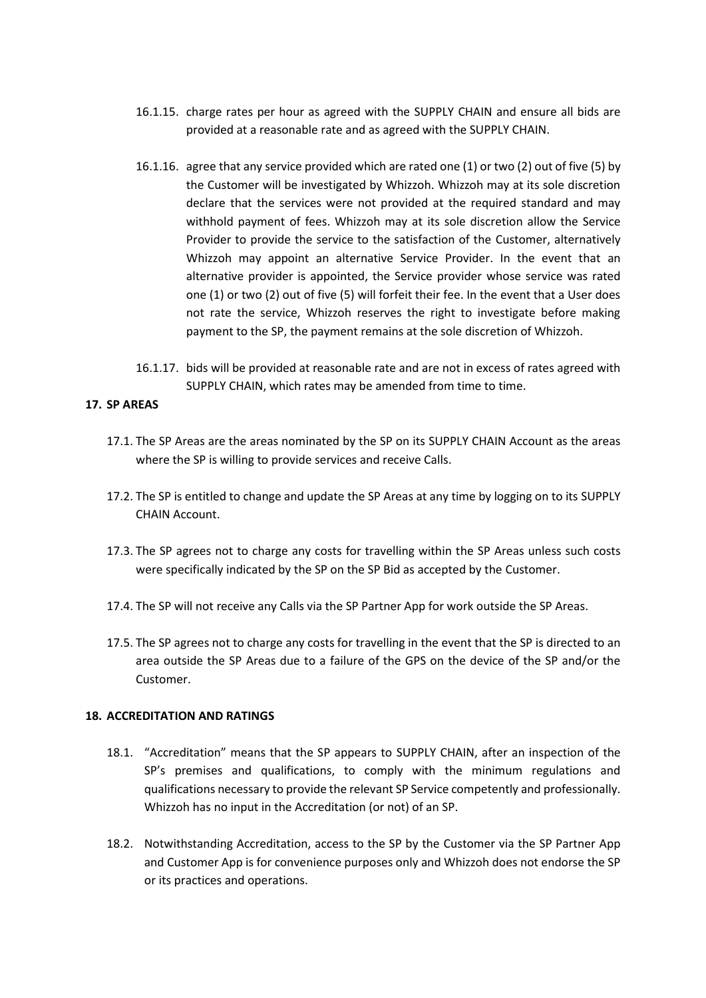- 16.1.15. charge rates per hour as agreed with the SUPPLY CHAIN and ensure all bids are provided at a reasonable rate and as agreed with the SUPPLY CHAIN.
- 16.1.16. agree that any service provided which are rated one (1) or two (2) out of five (5) by the Customer will be investigated by Whizzoh. Whizzoh may at its sole discretion declare that the services were not provided at the required standard and may withhold payment of fees. Whizzoh may at its sole discretion allow the Service Provider to provide the service to the satisfaction of the Customer, alternatively Whizzoh may appoint an alternative Service Provider. In the event that an alternative provider is appointed, the Service provider whose service was rated one (1) or two (2) out of five (5) will forfeit their fee. In the event that a User does not rate the service, Whizzoh reserves the right to investigate before making payment to the SP, the payment remains at the sole discretion of Whizzoh.
- 16.1.17. bids will be provided at reasonable rate and are not in excess of rates agreed with SUPPLY CHAIN, which rates may be amended from time to time.

## **17. SP AREAS**

- 17.1. The SP Areas are the areas nominated by the SP on its SUPPLY CHAIN Account as the areas where the SP is willing to provide services and receive Calls.
- 17.2. The SP is entitled to change and update the SP Areas at any time by logging on to its SUPPLY CHAIN Account.
- 17.3. The SP agrees not to charge any costs for travelling within the SP Areas unless such costs were specifically indicated by the SP on the SP Bid as accepted by the Customer.
- 17.4. The SP will not receive any Calls via the SP Partner App for work outside the SP Areas.
- 17.5. The SP agrees not to charge any costs for travelling in the event that the SP is directed to an area outside the SP Areas due to a failure of the GPS on the device of the SP and/or the Customer.

#### **18. ACCREDITATION AND RATINGS**

- 18.1. "Accreditation" means that the SP appears to SUPPLY CHAIN, after an inspection of the SP's premises and qualifications, to comply with the minimum regulations and qualifications necessary to provide the relevant SP Service competently and professionally. Whizzoh has no input in the Accreditation (or not) of an SP.
- 18.2. Notwithstanding Accreditation, access to the SP by the Customer via the SP Partner App and Customer App is for convenience purposes only and Whizzoh does not endorse the SP or its practices and operations.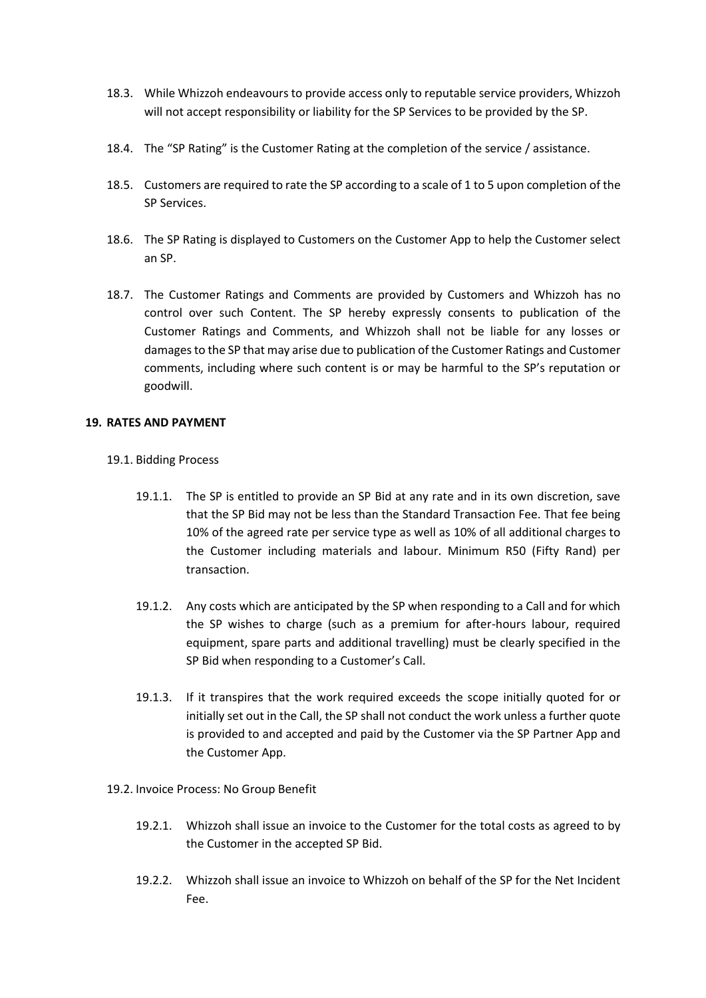- 18.3. While Whizzoh endeavours to provide access only to reputable service providers, Whizzoh will not accept responsibility or liability for the SP Services to be provided by the SP.
- 18.4. The "SP Rating" is the Customer Rating at the completion of the service / assistance.
- 18.5. Customers are required to rate the SP according to a scale of 1 to 5 upon completion of the SP Services.
- 18.6. The SP Rating is displayed to Customers on the Customer App to help the Customer select an SP.
- 18.7. The Customer Ratings and Comments are provided by Customers and Whizzoh has no control over such Content. The SP hereby expressly consents to publication of the Customer Ratings and Comments, and Whizzoh shall not be liable for any losses or damages to the SP that may arise due to publication of the Customer Ratings and Customer comments, including where such content is or may be harmful to the SP's reputation or goodwill.

### **19. RATES AND PAYMENT**

- 19.1. Bidding Process
	- 19.1.1. The SP is entitled to provide an SP Bid at any rate and in its own discretion, save that the SP Bid may not be less than the Standard Transaction Fee. That fee being 10% of the agreed rate per service type as well as 10% of all additional charges to the Customer including materials and labour. Minimum R50 (Fifty Rand) per transaction.
	- 19.1.2. Any costs which are anticipated by the SP when responding to a Call and for which the SP wishes to charge (such as a premium for after-hours labour, required equipment, spare parts and additional travelling) must be clearly specified in the SP Bid when responding to a Customer's Call.
	- 19.1.3. If it transpires that the work required exceeds the scope initially quoted for or initially set out in the Call, the SP shall not conduct the work unless a further quote is provided to and accepted and paid by the Customer via the SP Partner App and the Customer App.
- 19.2. Invoice Process: No Group Benefit
	- 19.2.1. Whizzoh shall issue an invoice to the Customer for the total costs as agreed to by the Customer in the accepted SP Bid.
	- 19.2.2. Whizzoh shall issue an invoice to Whizzoh on behalf of the SP for the Net Incident Fee.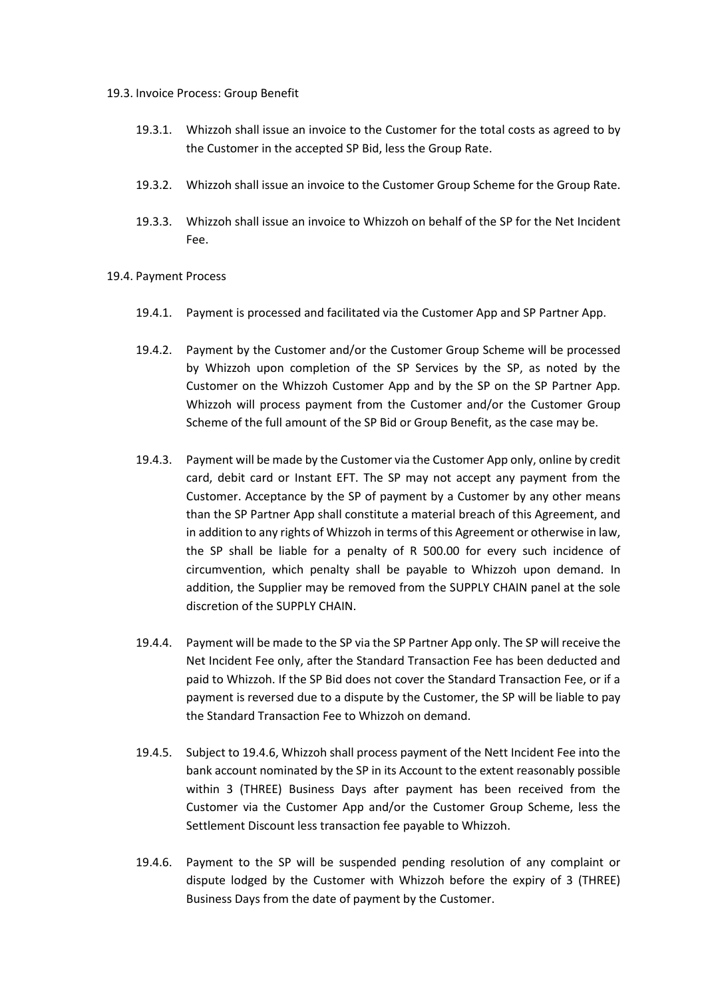#### 19.3. Invoice Process: Group Benefit

- 19.3.1. Whizzoh shall issue an invoice to the Customer for the total costs as agreed to by the Customer in the accepted SP Bid, less the Group Rate.
- 19.3.2. Whizzoh shall issue an invoice to the Customer Group Scheme for the Group Rate.
- 19.3.3. Whizzoh shall issue an invoice to Whizzoh on behalf of the SP for the Net Incident Fee.
- 19.4. Payment Process
	- 19.4.1. Payment is processed and facilitated via the Customer App and SP Partner App.
	- 19.4.2. Payment by the Customer and/or the Customer Group Scheme will be processed by Whizzoh upon completion of the SP Services by the SP, as noted by the Customer on the Whizzoh Customer App and by the SP on the SP Partner App. Whizzoh will process payment from the Customer and/or the Customer Group Scheme of the full amount of the SP Bid or Group Benefit, as the case may be.
	- 19.4.3. Payment will be made by the Customer via the Customer App only, online by credit card, debit card or Instant EFT. The SP may not accept any payment from the Customer. Acceptance by the SP of payment by a Customer by any other means than the SP Partner App shall constitute a material breach of this Agreement, and in addition to any rights of Whizzoh in terms of this Agreement or otherwise in law, the SP shall be liable for a penalty of R 500.00 for every such incidence of circumvention, which penalty shall be payable to Whizzoh upon demand. In addition, the Supplier may be removed from the SUPPLY CHAIN panel at the sole discretion of the SUPPLY CHAIN.
	- 19.4.4. Payment will be made to the SP via the SP Partner App only. The SP will receive the Net Incident Fee only, after the Standard Transaction Fee has been deducted and paid to Whizzoh. If the SP Bid does not cover the Standard Transaction Fee, or if a payment is reversed due to a dispute by the Customer, the SP will be liable to pay the Standard Transaction Fee to Whizzoh on demand.
	- 19.4.5. Subject to 19.4.6, Whizzoh shall process payment of the Nett Incident Fee into the bank account nominated by the SP in its Account to the extent reasonably possible within 3 (THREE) Business Days after payment has been received from the Customer via the Customer App and/or the Customer Group Scheme, less the Settlement Discount less transaction fee payable to Whizzoh.
	- 19.4.6. Payment to the SP will be suspended pending resolution of any complaint or dispute lodged by the Customer with Whizzoh before the expiry of 3 (THREE) Business Days from the date of payment by the Customer.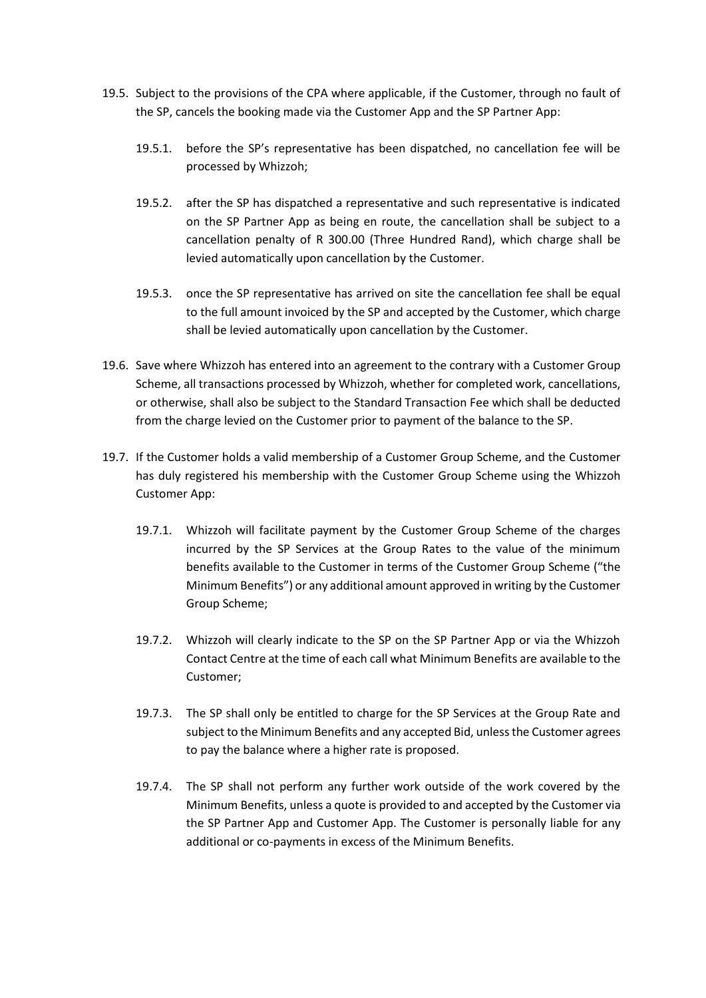- 19.5. Subject to the provisions of the CPA where applicable, if the Customer, through no fault of the SP, cancels the booking made via the Customer App and the SP Partner App:
	- 19.5.1. before the SP's representative has been dispatched, no cancellation fee will be processed by Whizzoh;
	- 19.5.2. after the SP has dispatched a representative and such representative is indicated on the SP Partner App as being en route, the cancellation shall be subject to a cancellation penalty of R 300.00 (Three Hundred Rand), which charge shall be levied automatically upon cancellation by the Customer.
	- 19.5.3. once the SP representative has arrived on site the cancellation fee shall be equal to the full amount invoiced by the SP and accepted by the Customer, which charge shall be levied automatically upon cancellation by the Customer.
- 19.6. Save where Whizzoh has entered into an agreement to the contrary with a Customer Group Scheme, all transactions processed by Whizzoh, whether for completed work, cancellations, or otherwise, shall also be subject to the Standard Transaction Fee which shall be deducted from the charge levied on the Customer prior to payment of the balance to the SP.
- 19.7. If the Customer holds a valid membership of a Customer Group Scheme, and the Customer has duly registered his membership with the Customer Group Scheme using the Whizzoh Customer App:
	- 19.7.1. Whizzoh will facilitate payment by the Customer Group Scheme of the charges incurred by the SP Services at the Group Rates to the value of the minimum benefits available to the Customer in terms of the Customer Group Scheme ("the Minimum Benefits") or any additional amount approved in writing by the Customer Group Scheme;
	- 19.7.2. Whizzoh will clearly indicate to the SP on the SP Partner App or via the Whizzoh Contact Centre at the time of each call what Minimum Benefits are available to the Customer;
	- 19.7.3. The SP shall only be entitled to charge for the SP Services at the Group Rate and subject to the Minimum Benefits and any accepted Bid, unless the Customer agrees to pay the balance where a higher rate is proposed.
	- 19.7.4. The SP shall not perform any further work outside of the work covered by the Minimum Benefits, unless a quote is provided to and accepted by the Customer via the SP Partner App and Customer App. The Customer is personally liable for any additional or co-payments in excess of the Minimum Benefits.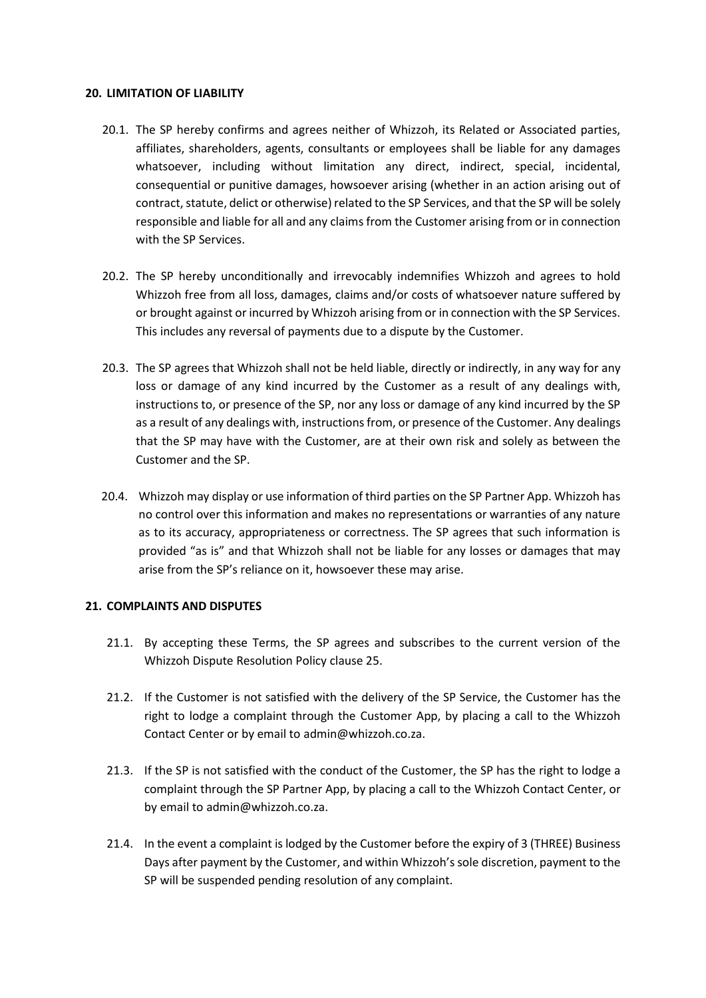#### **20. LIMITATION OF LIABILITY**

- 20.1. The SP hereby confirms and agrees neither of Whizzoh, its Related or Associated parties, affiliates, shareholders, agents, consultants or employees shall be liable for any damages whatsoever, including without limitation any direct, indirect, special, incidental, consequential or punitive damages, howsoever arising (whether in an action arising out of contract, statute, delict or otherwise) related to the SP Services, and that the SP will be solely responsible and liable for all and any claims from the Customer arising from or in connection with the SP Services.
- 20.2. The SP hereby unconditionally and irrevocably indemnifies Whizzoh and agrees to hold Whizzoh free from all loss, damages, claims and/or costs of whatsoever nature suffered by or brought against or incurred by Whizzoh arising from or in connection with the SP Services. This includes any reversal of payments due to a dispute by the Customer.
- 20.3. The SP agrees that Whizzoh shall not be held liable, directly or indirectly, in any way for any loss or damage of any kind incurred by the Customer as a result of any dealings with, instructions to, or presence of the SP, nor any loss or damage of any kind incurred by the SP as a result of any dealings with, instructions from, or presence of the Customer. Any dealings that the SP may have with the Customer, are at their own risk and solely as between the Customer and the SP.
- 20.4. Whizzoh may display or use information of third parties on the SP Partner App. Whizzoh has no control over this information and makes no representations or warranties of any nature as to its accuracy, appropriateness or correctness. The SP agrees that such information is provided "as is" and that Whizzoh shall not be liable for any losses or damages that may arise from the SP's reliance on it, howsoever these may arise.

## **21. COMPLAINTS AND DISPUTES**

- 21.1. By accepting these Terms, the SP agrees and subscribes to the current version of the Whizzoh Dispute Resolution Policy clause 25.
- 21.2. If the Customer is not satisfied with the delivery of the SP Service, the Customer has the right to lodge a complaint through the Customer App, by placing a call to the Whizzoh Contact Center or by email to admin@whizzoh.co.za.
- 21.3. If the SP is not satisfied with the conduct of the Customer, the SP has the right to lodge a complaint through the SP Partner App, by placing a call to the Whizzoh Contact Center, or by email to admin@whizzoh.co.za.
- 21.4. In the event a complaint is lodged by the Customer before the expiry of 3 (THREE) Business Days after payment by the Customer, and within Whizzoh's sole discretion, payment to the SP will be suspended pending resolution of any complaint.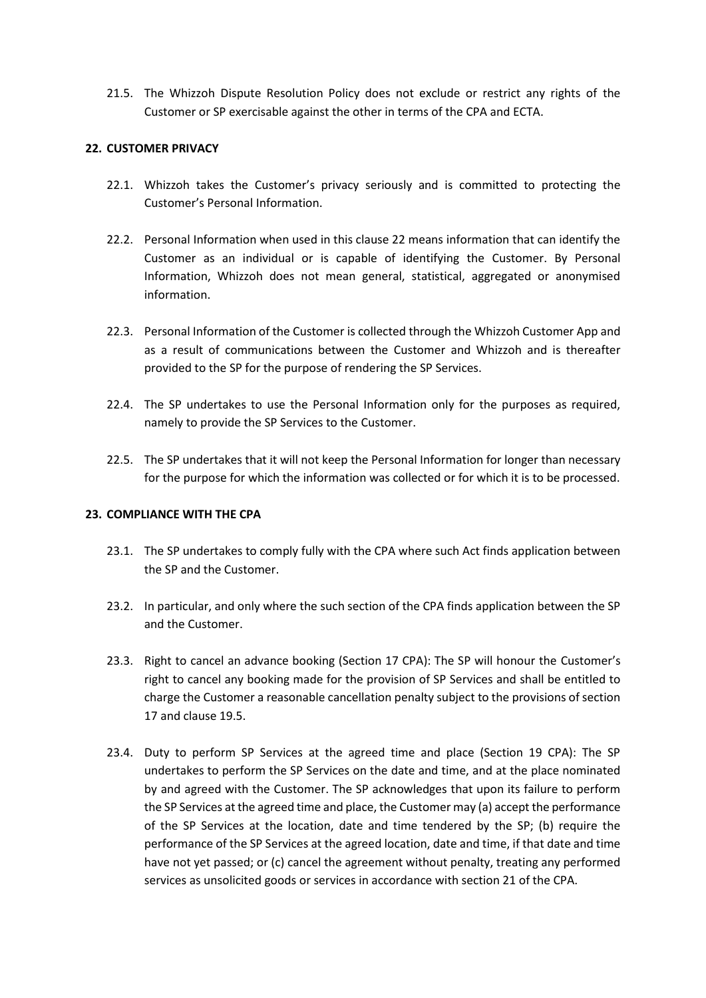21.5. The Whizzoh Dispute Resolution Policy does not exclude or restrict any rights of the Customer or SP exercisable against the other in terms of the CPA and ECTA.

# **22. CUSTOMER PRIVACY**

- 22.1. Whizzoh takes the Customer's privacy seriously and is committed to protecting the Customer's Personal Information.
- 22.2. Personal Information when used in this clause 22 means information that can identify the Customer as an individual or is capable of identifying the Customer. By Personal Information, Whizzoh does not mean general, statistical, aggregated or anonymised information.
- 22.3. Personal Information of the Customer is collected through the Whizzoh Customer App and as a result of communications between the Customer and Whizzoh and is thereafter provided to the SP for the purpose of rendering the SP Services.
- 22.4. The SP undertakes to use the Personal Information only for the purposes as required, namely to provide the SP Services to the Customer.
- 22.5. The SP undertakes that it will not keep the Personal Information for longer than necessary for the purpose for which the information was collected or for which it is to be processed.

## **23. COMPLIANCE WITH THE CPA**

- 23.1. The SP undertakes to comply fully with the CPA where such Act finds application between the SP and the Customer.
- 23.2. In particular, and only where the such section of the CPA finds application between the SP and the Customer.
- 23.3. Right to cancel an advance booking (Section 17 CPA): The SP will honour the Customer's right to cancel any booking made for the provision of SP Services and shall be entitled to charge the Customer a reasonable cancellation penalty subject to the provisions of section 17 and clause 19.5.
- 23.4. Duty to perform SP Services at the agreed time and place (Section 19 CPA): The SP undertakes to perform the SP Services on the date and time, and at the place nominated by and agreed with the Customer. The SP acknowledges that upon its failure to perform the SP Services at the agreed time and place, the Customer may (a) accept the performance of the SP Services at the location, date and time tendered by the SP; (b) require the performance of the SP Services at the agreed location, date and time, if that date and time have not yet passed; or (c) cancel the agreement without penalty, treating any performed services as unsolicited goods or services in accordance with section 21 of the CPA.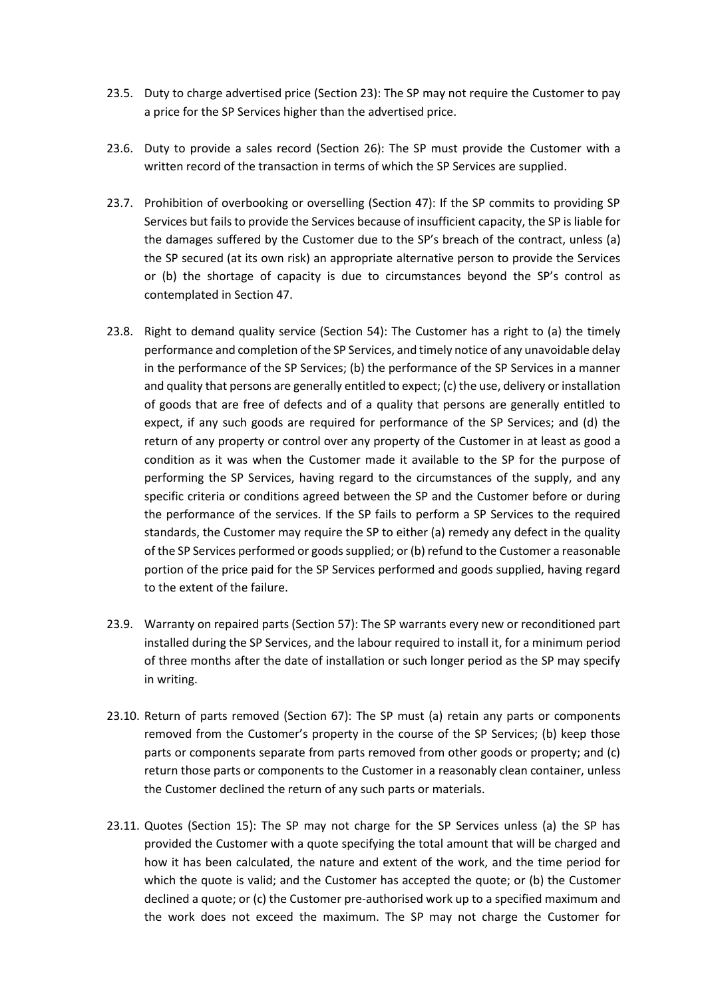- 23.5. Duty to charge advertised price (Section 23): The SP may not require the Customer to pay a price for the SP Services higher than the advertised price.
- 23.6. Duty to provide a sales record (Section 26): The SP must provide the Customer with a written record of the transaction in terms of which the SP Services are supplied.
- 23.7. Prohibition of overbooking or overselling (Section 47): If the SP commits to providing SP Services but fails to provide the Services because of insufficient capacity, the SP is liable for the damages suffered by the Customer due to the SP's breach of the contract, unless (a) the SP secured (at its own risk) an appropriate alternative person to provide the Services or (b) the shortage of capacity is due to circumstances beyond the SP's control as contemplated in Section 47.
- 23.8. Right to demand quality service (Section 54): The Customer has a right to (a) the timely performance and completion of the SP Services, and timely notice of any unavoidable delay in the performance of the SP Services; (b) the performance of the SP Services in a manner and quality that persons are generally entitled to expect; (c) the use, delivery or installation of goods that are free of defects and of a quality that persons are generally entitled to expect, if any such goods are required for performance of the SP Services; and (d) the return of any property or control over any property of the Customer in at least as good a condition as it was when the Customer made it available to the SP for the purpose of performing the SP Services, having regard to the circumstances of the supply, and any specific criteria or conditions agreed between the SP and the Customer before or during the performance of the services. If the SP fails to perform a SP Services to the required standards, the Customer may require the SP to either (a) remedy any defect in the quality of the SP Services performed or goods supplied; or (b) refund to the Customer a reasonable portion of the price paid for the SP Services performed and goods supplied, having regard to the extent of the failure.
- 23.9. Warranty on repaired parts (Section 57): The SP warrants every new or reconditioned part installed during the SP Services, and the labour required to install it, for a minimum period of three months after the date of installation or such longer period as the SP may specify in writing.
- 23.10. Return of parts removed (Section 67): The SP must (a) retain any parts or components removed from the Customer's property in the course of the SP Services; (b) keep those parts or components separate from parts removed from other goods or property; and (c) return those parts or components to the Customer in a reasonably clean container, unless the Customer declined the return of any such parts or materials.
- 23.11. Quotes (Section 15): The SP may not charge for the SP Services unless (a) the SP has provided the Customer with a quote specifying the total amount that will be charged and how it has been calculated, the nature and extent of the work, and the time period for which the quote is valid; and the Customer has accepted the quote; or (b) the Customer declined a quote; or (c) the Customer pre-authorised work up to a specified maximum and the work does not exceed the maximum. The SP may not charge the Customer for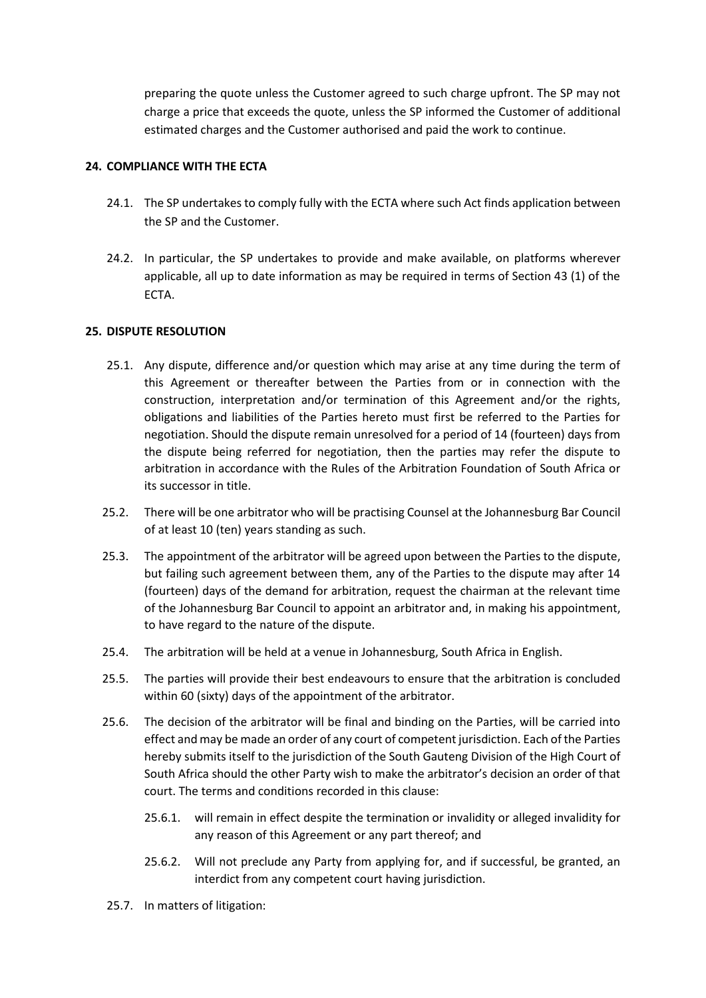preparing the quote unless the Customer agreed to such charge upfront. The SP may not charge a price that exceeds the quote, unless the SP informed the Customer of additional estimated charges and the Customer authorised and paid the work to continue.

# **24. COMPLIANCE WITH THE ECTA**

- 24.1. The SP undertakes to comply fully with the ECTA where such Act finds application between the SP and the Customer.
- 24.2. In particular, the SP undertakes to provide and make available, on platforms wherever applicable, all up to date information as may be required in terms of Section 43 (1) of the ECTA.

# **25. DISPUTE RESOLUTION**

- 25.1. Any dispute, difference and/or question which may arise at any time during the term of this Agreement or thereafter between the Parties from or in connection with the construction, interpretation and/or termination of this Agreement and/or the rights, obligations and liabilities of the Parties hereto must first be referred to the Parties for negotiation. Should the dispute remain unresolved for a period of 14 (fourteen) days from the dispute being referred for negotiation, then the parties may refer the dispute to arbitration in accordance with the Rules of the Arbitration Foundation of South Africa or its successor in title.
- 25.2. There will be one arbitrator who will be practising Counsel at the Johannesburg Bar Council of at least 10 (ten) years standing as such.
- 25.3. The appointment of the arbitrator will be agreed upon between the Parties to the dispute, but failing such agreement between them, any of the Parties to the dispute may after 14 (fourteen) days of the demand for arbitration, request the chairman at the relevant time of the Johannesburg Bar Council to appoint an arbitrator and, in making his appointment, to have regard to the nature of the dispute.
- 25.4. The arbitration will be held at a venue in Johannesburg, South Africa in English.
- 25.5. The parties will provide their best endeavours to ensure that the arbitration is concluded within 60 (sixty) days of the appointment of the arbitrator.
- 25.6. The decision of the arbitrator will be final and binding on the Parties, will be carried into effect and may be made an order of any court of competent jurisdiction. Each of the Parties hereby submits itself to the jurisdiction of the South Gauteng Division of the High Court of South Africa should the other Party wish to make the arbitrator's decision an order of that court. The terms and conditions recorded in this clause:
	- 25.6.1. will remain in effect despite the termination or invalidity or alleged invalidity for any reason of this Agreement or any part thereof; and
	- 25.6.2. Will not preclude any Party from applying for, and if successful, be granted, an interdict from any competent court having jurisdiction.
- 25.7. In matters of litigation: